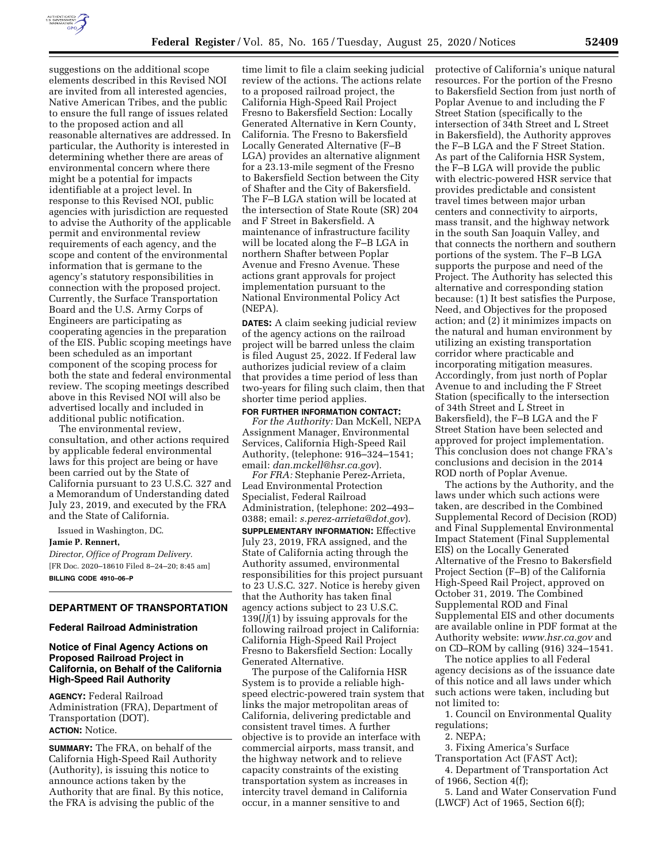

suggestions on the additional scope elements described in this Revised NOI are invited from all interested agencies, Native American Tribes, and the public to ensure the full range of issues related to the proposed action and all reasonable alternatives are addressed. In particular, the Authority is interested in determining whether there are areas of environmental concern where there might be a potential for impacts identifiable at a project level. In response to this Revised NOI, public agencies with jurisdiction are requested to advise the Authority of the applicable permit and environmental review requirements of each agency, and the scope and content of the environmental information that is germane to the agency's statutory responsibilities in connection with the proposed project. Currently, the Surface Transportation Board and the U.S. Army Corps of Engineers are participating as cooperating agencies in the preparation of the EIS. Public scoping meetings have been scheduled as an important component of the scoping process for both the state and federal environmental review. The scoping meetings described above in this Revised NOI will also be advertised locally and included in additional public notification.

The environmental review, consultation, and other actions required by applicable federal environmental laws for this project are being or have been carried out by the State of California pursuant to 23 U.S.C. 327 and a Memorandum of Understanding dated July 23, 2019, and executed by the FRA and the State of California.

Issued in Washington, DC.

## **Jamie P. Rennert,**

*Director, Office of Program Delivery.*  [FR Doc. 2020–18610 Filed 8–24–20; 8:45 am] **BILLING CODE 4910–06–P** 

### **DEPARTMENT OF TRANSPORTATION**

#### **Federal Railroad Administration**

## **Notice of Final Agency Actions on Proposed Railroad Project in California, on Behalf of the California High-Speed Rail Authority**

**AGENCY:** Federal Railroad Administration (FRA), Department of Transportation (DOT). **ACTION:** Notice.

**SUMMARY:** The FRA, on behalf of the California High-Speed Rail Authority (Authority), is issuing this notice to announce actions taken by the Authority that are final. By this notice, the FRA is advising the public of the

time limit to file a claim seeking judicial review of the actions. The actions relate to a proposed railroad project, the California High-Speed Rail Project Fresno to Bakersfield Section: Locally Generated Alternative in Kern County, California. The Fresno to Bakersfield Locally Generated Alternative (F–B LGA) provides an alternative alignment for a 23.13-mile segment of the Fresno to Bakersfield Section between the City of Shafter and the City of Bakersfield. The F–B LGA station will be located at the intersection of State Route (SR) 204 and F Street in Bakersfield. A maintenance of infrastructure facility will be located along the F–B LGA in northern Shafter between Poplar Avenue and Fresno Avenue. These actions grant approvals for project implementation pursuant to the National Environmental Policy Act (NEPA).

**DATES:** A claim seeking judicial review of the agency actions on the railroad project will be barred unless the claim is filed August 25, 2022. If Federal law authorizes judicial review of a claim that provides a time period of less than two-years for filing such claim, then that shorter time period applies.

**FOR FURTHER INFORMATION CONTACT:**  *For the Authority:* Dan McKell, NEPA Assignment Manager, Environmental Services, California High-Speed Rail Authority, (telephone: 916–324–1541; email: *[dan.mckell@hsr.ca.gov](mailto:dan.mckell@hsr.ca.gov)*).

*For FRA:* Stephanie Perez-Arrieta, Lead Environmental Protection Specialist, Federal Railroad Administration, (telephone: 202–493– 0388; email: *[s.perez-arrieta@dot.gov](mailto:s.perez-arrieta@dot.gov)*).

**SUPPLEMENTARY INFORMATION:** Effective July 23, 2019, FRA assigned, and the State of California acting through the Authority assumed, environmental responsibilities for this project pursuant to 23 U.S.C. 327. Notice is hereby given that the Authority has taken final agency actions subject to 23 U.S.C. 139(*l)*(1) by issuing approvals for the following railroad project in California: California High-Speed Rail Project Fresno to Bakersfield Section: Locally Generated Alternative.

The purpose of the California HSR System is to provide a reliable highspeed electric-powered train system that links the major metropolitan areas of California, delivering predictable and consistent travel times. A further objective is to provide an interface with commercial airports, mass transit, and the highway network and to relieve capacity constraints of the existing transportation system as increases in intercity travel demand in California occur, in a manner sensitive to and

protective of California's unique natural resources. For the portion of the Fresno to Bakersfield Section from just north of Poplar Avenue to and including the F Street Station (specifically to the intersection of 34th Street and L Street in Bakersfield), the Authority approves the F–B LGA and the F Street Station. As part of the California HSR System, the F–B LGA will provide the public with electric-powered HSR service that provides predictable and consistent travel times between major urban centers and connectivity to airports, mass transit, and the highway network in the south San Joaquin Valley, and that connects the northern and southern portions of the system. The F–B LGA supports the purpose and need of the Project. The Authority has selected this alternative and corresponding station because: (1) It best satisfies the Purpose, Need, and Objectives for the proposed action; and (2) it minimizes impacts on the natural and human environment by utilizing an existing transportation corridor where practicable and incorporating mitigation measures. Accordingly, from just north of Poplar Avenue to and including the F Street Station (specifically to the intersection of 34th Street and L Street in Bakersfield), the F–B LGA and the F Street Station have been selected and approved for project implementation. This conclusion does not change FRA's conclusions and decision in the 2014 ROD north of Poplar Avenue.

The actions by the Authority, and the laws under which such actions were taken, are described in the Combined Supplemental Record of Decision (ROD) and Final Supplemental Environmental Impact Statement (Final Supplemental EIS) on the Locally Generated Alternative of the Fresno to Bakersfield Project Section (F–B) of the California High-Speed Rail Project, approved on October 31, 2019. The Combined Supplemental ROD and Final Supplemental EIS and other documents are available online in PDF format at the Authority website: *[www.hsr.ca.gov](http://www.hsr.ca.gov)* and on CD–ROM by calling (916) 324–1541.

The notice applies to all Federal agency decisions as of the issuance date of this notice and all laws under which such actions were taken, including but not limited to:

1. Council on Environmental Quality regulations;

2. NEPA;

3. Fixing America's Surface

Transportation Act (FAST Act); 4. Department of Transportation Act of 1966, Section 4(f);

5. Land and Water Conservation Fund (LWCF) Act of 1965, Section 6(f);